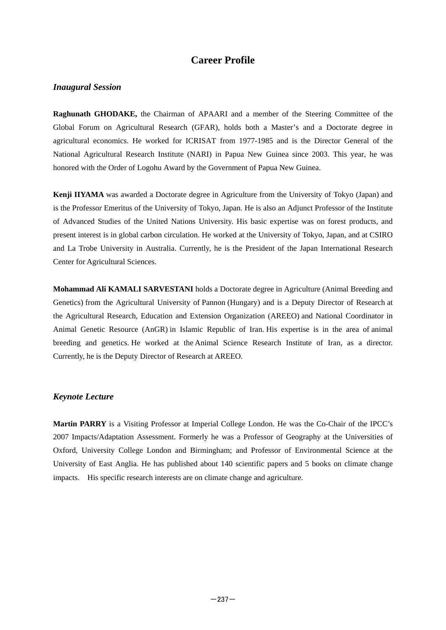# **Career Profile**

### *Inaugural Session*

**Raghunath GHODAKE,** the Chairman of APAARI and a member of the Steering Committee of the Global Forum on Agricultural Research (GFAR), holds both a Master's and a Doctorate degree in agricultural economics. He worked for ICRISAT from 1977-1985 and is the Director General of the National Agricultural Research Institute (NARI) in Papua New Guinea since 2003. This year, he was honored with the Order of Logohu Award by the Government of Papua New Guinea.

**Kenji IIYAMA** was awarded a Doctorate degree in Agriculture from the University of Tokyo (Japan) and is the Professor Emeritus of the University of Tokyo, Japan. He is also an Adjunct Professor of the Institute of Advanced Studies of the United Nations University. His basic expertise was on forest products, and present interest is in global carbon circulation. He worked at the University of Tokyo, Japan, and at CSIRO and La Trobe University in Australia. Currently, he is the President of the Japan International Research Center for Agricultural Sciences.

**Mohammad Ali KAMALI SARVESTANI** holds a Doctorate degree in Agriculture (Animal Breeding and Genetics) from the Agricultural University of Pannon (Hungary) and is a Deputy Director of Research at the Agricultural Research, Education and Extension Organization (AREEO) and National Coordinator in Animal Genetic Resource (AnGR) in Islamic Republic of Iran. His expertise is in the area of animal breeding and genetics. He worked at the Animal Science Research Institute of Iran, as a director. Currently, he is the Deputy Director of Research at AREEO.

### *Keynote Lecture*

**Martin PARRY** is a Visiting Professor at Imperial College London. He was the Co-Chair of the IPCC's 2007 Impacts/Adaptation Assessment. Formerly he was a Professor of Geography at the Universities of Oxford, University College London and Birmingham; and Professor of Environmental Science at the University of East Anglia. He has published about 140 scientific papers and 5 books on climate change impacts. His specific research interests are on climate change and agriculture.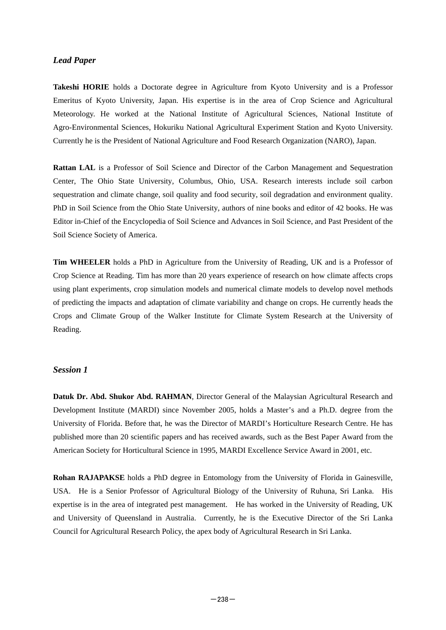#### *Lead Paper*

**Takeshi HORIE** holds a Doctorate degree in Agriculture from Kyoto University and is a Professor Emeritus of Kyoto University, Japan. His expertise is in the area of Crop Science and Agricultural Meteorology. He worked at the National Institute of Agricultural Sciences, National Institute of Agro-Environmental Sciences, Hokuriku National Agricultural Experiment Station and Kyoto University. Currently he is the President of National Agriculture and Food Research Organization (NARO), Japan.

**Rattan LAL** is a Professor of Soil Science and Director of the Carbon Management and Sequestration Center, The Ohio State University, Columbus, Ohio, USA. Research interests include soil carbon sequestration and climate change, soil quality and food security, soil degradation and environment quality. PhD in Soil Science from the Ohio State University, authors of nine books and editor of 42 books. He was Editor in-Chief of the Encyclopedia of Soil Science and Advances in Soil Science, and Past President of the Soil Science Society of America.

**Tim WHEELER** holds a PhD in Agriculture from the University of Reading, UK and is a Professor of Crop Science at Reading. Tim has more than 20 years experience of research on how climate affects crops using plant experiments, crop simulation models and numerical climate models to develop novel methods of predicting the impacts and adaptation of climate variability and change on crops. He currently heads the Crops and Climate Group of the Walker Institute for Climate System Research at the University of Reading.

#### *Session 1*

**Datuk Dr. Abd. Shukor Abd. RAHMAN**, Director General of the Malaysian Agricultural Research and Development Institute (MARDI) since November 2005, holds a Master's and a Ph.D. degree from the University of Florida. Before that, he was the Director of MARDI's Horticulture Research Centre. He has published more than 20 scientific papers and has received awards, such as the Best Paper Award from the American Society for Horticultural Science in 1995, MARDI Excellence Service Award in 2001, etc.

**Rohan RAJAPAKSE** holds a PhD degree in Entomology from the University of Florida in Gainesville, USA. He is a Senior Professor of Agricultural Biology of the University of Ruhuna, Sri Lanka. His expertise is in the area of integrated pest management. He has worked in the University of Reading, UK and University of Queensland in Australia. Currently, he is the Executive Director of the Sri Lanka Council for Agricultural Research Policy, the apex body of Agricultural Research in Sri Lanka.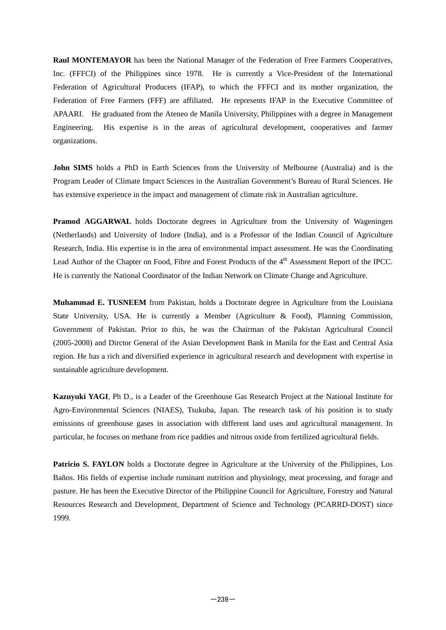**Raul MONTEMAYOR** has been the National Manager of the Federation of Free Farmers Cooperatives, Inc. (FFFCI) of the Philippines since 1978. He is currently a Vice-President of the International Federation of Agricultural Producers (IFAP), to which the FFFCI and its mother organization, the Federation of Free Farmers (FFF) are affiliated. He represents IFAP in the Executive Committee of APAARI. He graduated from the Ateneo de Manila University, Philippines with a degree in Management Engineering. His expertise is in the areas of agricultural development, cooperatives and farmer organizations.

**John SIMS** holds a PhD in Earth Sciences from the University of Melbourne (Australia) and is the Program Leader of Climate Impact Sciences in the Australian Government's Bureau of Rural Sciences. He has extensive experience in the impact and management of climate risk in Australian agriculture.

**Pramod AGGARWAL** holds Doctorate degrees in Agriculture from the University of Wageningen (Netherlands) and University of Indore (India), and is a Professor of the Indian Council of Agriculture Research, India. His expertise is in the area of environmental impact assessment. He was the Coordinating Lead Author of the Chapter on Food, Fibre and Forest Products of the 4<sup>th</sup> Assessment Report of the IPCC. He is currently the National Coordinator of the Indian Network on Climate Change and Agriculture.

**Muhammad E. TUSNEEM** from Pakistan, holds a Doctorate degree in Agriculture from the Louisiana State University, USA. He is currently a Member (Agriculture & Food), Planning Commission, Government of Pakistan. Prior to this, he was the Chairman of the Pakistan Agricultural Council (2005-2008) and Dirctor General of the Asian Development Bank in Manila for the East and Central Asia region. He has a rich and diversified experience in agricultural research and development with expertise in sustainable agriculture development.

**Kazuyuki YAGI**, Ph D., is a Leader of the Greenhouse Gas Research Project at the National Institute for Agro-Environmental Sciences (NIAES), Tsukuba, Japan. The research task of his position is to study emissions of greenhouse gases in association with different land uses and agricultural management. In particular, he focuses on methane from rice paddies and nitrous oxide from fertilized agricultural fields.

**Patricio S. FAYLON** holds a Doctorate degree in Agriculture at the University of the Philippines, Los Baños. His fields of expertise include ruminant nutrition and physiology, meat processing, and forage and pasture. He has been the Executive Director of the Philippine Council for Agriculture, Forestry and Natural Resources Research and Development, Department of Science and Technology (PCARRD-DOST) since 1999.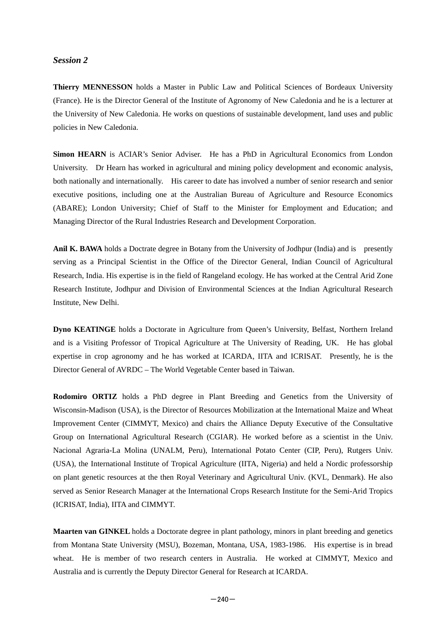#### *Session 2*

**Thierry MENNESSON** holds a Master in Public Law and Political Sciences of Bordeaux University (France). He is the Director General of the Institute of Agronomy of New Caledonia and he is a lecturer at the University of New Caledonia. He works on questions of sustainable development, land uses and public policies in New Caledonia.

**Simon HEARN** is ACIAR's Senior Adviser. He has a PhD in Agricultural Economics from London University. Dr Hearn has worked in agricultural and mining policy development and economic analysis, both nationally and internationally. His career to date has involved a number of senior research and senior executive positions, including one at the Australian Bureau of Agriculture and Resource Economics (ABARE); London University; Chief of Staff to the Minister for Employment and Education; and Managing Director of the Rural Industries Research and Development Corporation.

Anil K. BAWA holds a Doctrate degree in Botany from the University of Jodhpur (India) and is presently serving as a Principal Scientist in the Office of the Director General, Indian Council of Agricultural Research, India. His expertise is in the field of Rangeland ecology. He has worked at the Central Arid Zone Research Institute, Jodhpur and Division of Environmental Sciences at the Indian Agricultural Research Institute, New Delhi.

**Dyno KEATINGE** holds a Doctorate in Agriculture from Queen's University, Belfast, Northern Ireland and is a Visiting Professor of Tropical Agriculture at The University of Reading, UK. He has global expertise in crop agronomy and he has worked at ICARDA, IITA and ICRISAT. Presently, he is the Director General of AVRDC – The World Vegetable Center based in Taiwan.

**Rodomiro ORTIZ** holds a PhD degree in Plant Breeding and Genetics from the University of Wisconsin-Madison (USA), is the Director of Resources Mobilization at the International Maize and Wheat Improvement Center (CIMMYT, Mexico) and chairs the Alliance Deputy Executive of the Consultative Group on International Agricultural Research (CGIAR). He worked before as a scientist in the Univ. Nacional Agraria-La Molina (UNALM, Peru), International Potato Center (CIP, Peru), Rutgers Univ. (USA), the International Institute of Tropical Agriculture (IITA, Nigeria) and held a Nordic professorship on plant genetic resources at the then Royal Veterinary and Agricultural Univ. (KVL, Denmark). He also served as Senior Research Manager at the International Crops Research Institute for the Semi-Arid Tropics (ICRISAT, India), IITA and CIMMYT.

**Maarten van GINKEL** holds a Doctorate degree in plant pathology, minors in plant breeding and genetics from Montana State University (MSU), Bozeman, Montana, USA, 1983-1986. His expertise is in bread wheat. He is member of two research centers in Australia. He worked at CIMMYT, Mexico and Australia and is currently the Deputy Director General for Research at ICARDA.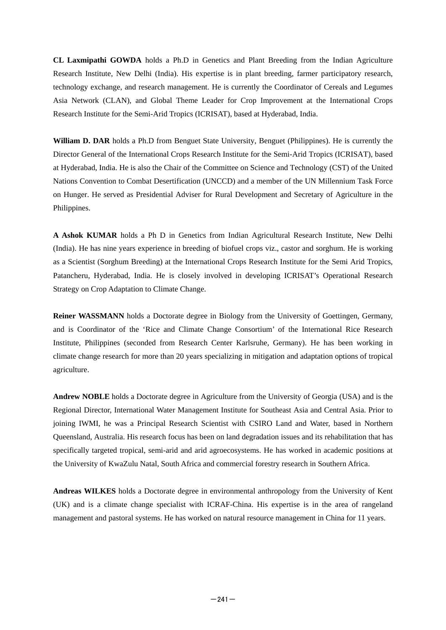**CL Laxmipathi GOWDA** holds a Ph.D in Genetics and Plant Breeding from the Indian Agriculture Research Institute, New Delhi (India). His expertise is in plant breeding, farmer participatory research, technology exchange, and research management. He is currently the Coordinator of Cereals and Legumes Asia Network (CLAN), and Global Theme Leader for Crop Improvement at the International Crops Research Institute for the Semi-Arid Tropics (ICRISAT), based at Hyderabad, India.

**William D. DAR** holds a Ph.D from Benguet State University, Benguet (Philippines). He is currently the Director General of the International Crops Research Institute for the Semi-Arid Tropics (ICRISAT), based at Hyderabad, India. He is also the Chair of the Committee on Science and Technology (CST) of the United Nations Convention to Combat Desertification (UNCCD) and a member of the UN Millennium Task Force on Hunger. He served as Presidential Adviser for Rural Development and Secretary of Agriculture in the Philippines.

**A Ashok KUMAR** holds a Ph D in Genetics from Indian Agricultural Research Institute, New Delhi (India). He has nine years experience in breeding of biofuel crops viz., castor and sorghum. He is working as a Scientist (Sorghum Breeding) at the International Crops Research Institute for the Semi Arid Tropics, Patancheru, Hyderabad, India. He is closely involved in developing ICRISAT's Operational Research Strategy on Crop Adaptation to Climate Change.

**Reiner WASSMANN** holds a Doctorate degree in Biology from the University of Goettingen, Germany, and is Coordinator of the 'Rice and Climate Change Consortium' of the International Rice Research Institute, Philippines (seconded from Research Center Karlsruhe, Germany). He has been working in climate change research for more than 20 years specializing in mitigation and adaptation options of tropical agriculture.

**Andrew NOBLE** holds a Doctorate degree in Agriculture from the University of Georgia (USA) and is the Regional Director, International Water Management Institute for Southeast Asia and Central Asia. Prior to joining IWMI, he was a Principal Research Scientist with CSIRO Land and Water, based in Northern Queensland, Australia. His research focus has been on land degradation issues and its rehabilitation that has specifically targeted tropical, semi-arid and arid agroecosystems. He has worked in academic positions at the University of KwaZulu Natal, South Africa and commercial forestry research in Southern Africa.

**Andreas WILKES** holds a Doctorate degree in environmental anthropology from the University of Kent (UK) and is a climate change specialist with ICRAF-China. His expertise is in the area of rangeland management and pastoral systems. He has worked on natural resource management in China for 11 years.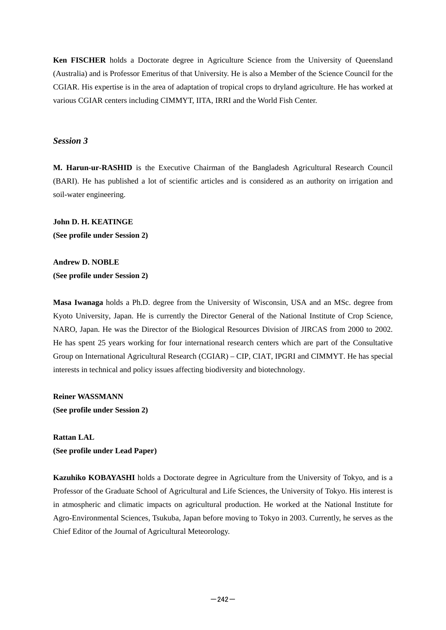**Ken FISCHER** holds a Doctorate degree in Agriculture Science from the University of Queensland (Australia) and is Professor Emeritus of that University. He is also a Member of the Science Council for the CGIAR. His expertise is in the area of adaptation of tropical crops to dryland agriculture. He has worked at various CGIAR centers including CIMMYT, IITA, IRRI and the World Fish Center.

#### *Session 3*

**M. Harun-ur-RASHID** is the Executive Chairman of the Bangladesh Agricultural Research Council (BARI). He has published a lot of scientific articles and is considered as an authority on irrigation and soil-water engineering.

**John D. H. KEATINGE (See profile under Session 2)** 

**Andrew D. NOBLE (See profile under Session 2)** 

**Masa Iwanaga** holds a Ph.D. degree from the University of Wisconsin, USA and an MSc. degree from Kyoto University, Japan. He is currently the Director General of the National Institute of Crop Science, NARO, Japan. He was the Director of the Biological Resources Division of JIRCAS from 2000 to 2002. He has spent 25 years working for four international research centers which are part of the Consultative Group on International Agricultural Research (CGIAR) – CIP, CIAT, IPGRI and CIMMYT. He has special interests in technical and policy issues affecting biodiversity and biotechnology.

**Reiner WASSMANN (See profile under Session 2)** 

**Rattan LAL (See profile under Lead Paper)** 

**Kazuhiko KOBAYASHI** holds a Doctorate degree in Agriculture from the University of Tokyo, and is a Professor of the Graduate School of Agricultural and Life Sciences, the University of Tokyo. His interest is in atmospheric and climatic impacts on agricultural production. He worked at the National Institute for Agro-Environmental Sciences, Tsukuba, Japan before moving to Tokyo in 2003. Currently, he serves as the Chief Editor of the Journal of Agricultural Meteorology.